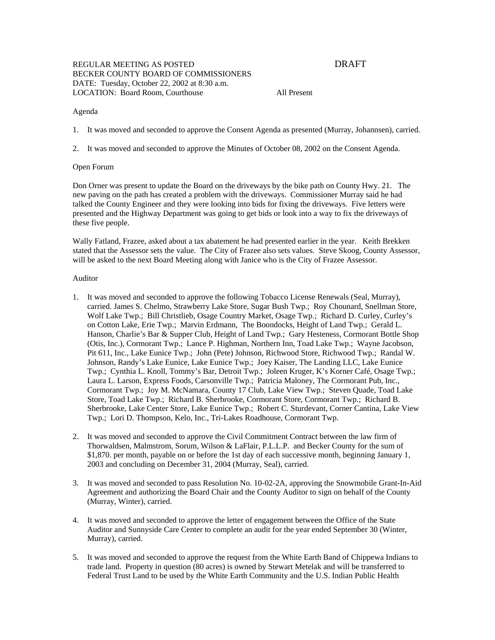# REGULAR MEETING AS POSTED DRAFT BECKER COUNTY BOARD OF COMMISSIONERS DATE: Tuesday, October 22, 2002 at 8:30 a.m. LOCATION: Board Room, Courthouse All Present

## Agenda

1. It was moved and seconded to approve the Consent Agenda as presented (Murray, Johannsen), carried.

2. It was moved and seconded to approve the Minutes of October 08, 2002 on the Consent Agenda.

## Open Forum

Don Orner was present to update the Board on the driveways by the bike path on County Hwy. 21. The new paving on the path has created a problem with the driveways. Commissioner Murray said he had talked the County Engineer and they were looking into bids for fixing the driveways. Five letters were presented and the Highway Department was going to get bids or look into a way to fix the driveways of these five people.

Wally Fatland, Frazee, asked about a tax abatement he had presented earlier in the year. Keith Brekken stated that the Assessor sets the value. The City of Frazee also sets values. Steve Skoog, County Assessor, will be asked to the next Board Meeting along with Janice who is the City of Frazee Assessor.

## Auditor

- 1. It was moved and seconded to approve the following Tobacco License Renewals (Seal, Murray), carried. James S. Chelmo, Strawberry Lake Store, Sugar Bush Twp.; Roy Chounard, Snellman Store, Wolf Lake Twp.; Bill Christlieb, Osage Country Market, Osage Twp.; Richard D. Curley, Curley's on Cotton Lake, Erie Twp.; Marvin Erdmann, The Boondocks, Height of Land Twp.; Gerald L. Hanson, Charlie's Bar & Supper Club, Height of Land Twp.; Gary Hesteness, Cormorant Bottle Shop (Otis, Inc.), Cormorant Twp.; Lance P. Highman, Northern Inn, Toad Lake Twp.; Wayne Jacobson, Pit 611, Inc., Lake Eunice Twp.; John (Pete) Johnson, Richwood Store, Richwood Twp.; Randal W. Johnson, Randy's Lake Eunice, Lake Eunice Twp.; Joey Kaiser, The Landing LLC, Lake Eunice Twp.; Cynthia L. Knoll, Tommy's Bar, Detroit Twp.; Joleen Kruger, K's Korner Café, Osage Twp.; Laura L. Larson, Express Foods, Carsonville Twp.; Patricia Maloney, The Cormorant Pub, Inc., Cormorant Twp.; Joy M. McNamara, County 17 Club, Lake View Twp.; Steven Quade, Toad Lake Store, Toad Lake Twp.; Richard B. Sherbrooke, Cormorant Store, Cormorant Twp.; Richard B. Sherbrooke, Lake Center Store, Lake Eunice Twp.; Robert C. Sturdevant, Corner Cantina, Lake View Twp.; Lori D. Thompson, Kelo, Inc., Tri-Lakes Roadhouse, Cormorant Twp.
- 2. It was moved and seconded to approve the Civil Commitment Contract between the law firm of Thorwaldsen, Malmstrom, Sorum, Wilson & LaFlair, P.L.L.P. and Becker County for the sum of \$1,870. per month, payable on or before the 1st day of each successive month, beginning January 1, 2003 and concluding on December 31, 2004 (Murray, Seal), carried.
- 3. It was moved and seconded to pass Resolution No. 10-02-2A, approving the Snowmobile Grant-In-Aid Agreement and authorizing the Board Chair and the County Auditor to sign on behalf of the County (Murray, Winter), carried.
- 4. It was moved and seconded to approve the letter of engagement between the Office of the State Auditor and Sunnyside Care Center to complete an audit for the year ended September 30 (Winter, Murray), carried.
- 5. It was moved and seconded to approve the request from the White Earth Band of Chippewa Indians to trade land. Property in question (80 acres) is owned by Stewart Metelak and will be transferred to Federal Trust Land to be used by the White Earth Community and the U.S. Indian Public Health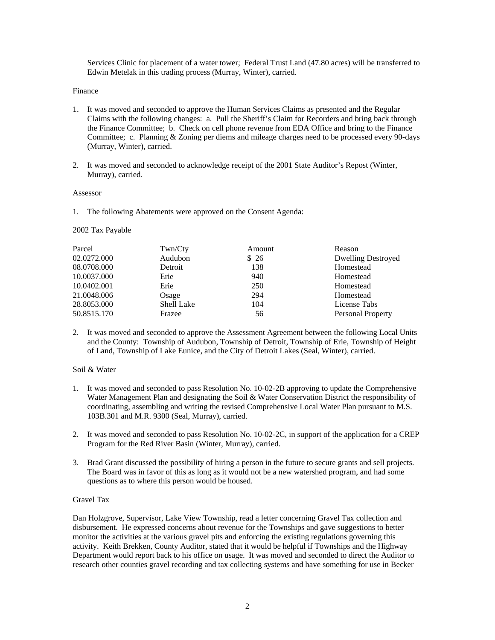Services Clinic for placement of a water tower; Federal Trust Land (47.80 acres) will be transferred to Edwin Metelak in this trading process (Murray, Winter), carried.

## Finance

- 1. It was moved and seconded to approve the Human Services Claims as presented and the Regular Claims with the following changes: a. Pull the Sheriff's Claim for Recorders and bring back through the Finance Committee; b. Check on cell phone revenue from EDA Office and bring to the Finance Committee; c. Planning & Zoning per diems and mileage charges need to be processed every 90-days (Murray, Winter), carried.
- 2. It was moved and seconded to acknowledge receipt of the 2001 State Auditor's Repost (Winter, Murray), carried.

## Assessor

1. The following Abatements were approved on the Consent Agenda:

# 2002 Tax Payable

| Parcel      | Twn/Cty           | Amount | Reason                    |
|-------------|-------------------|--------|---------------------------|
| 02.0272.000 | Audubon           | \$26   | <b>Dwelling Destroyed</b> |
| 08.0708.000 | Detroit           | 138    | Homestead                 |
| 10.0037.000 | Erie              | 940    | Homestead                 |
| 10.0402.001 | Erie              | 250    | Homestead                 |
| 21.0048.006 | Osage             | 294    | Homestead                 |
| 28.8053.000 | <b>Shell Lake</b> | 104    | License Tabs              |
| 50.8515.170 | Frazee            | 56     | Personal Property         |

2. It was moved and seconded to approve the Assessment Agreement between the following Local Units and the County: Township of Audubon, Township of Detroit, Township of Erie, Township of Height of Land, Township of Lake Eunice, and the City of Detroit Lakes (Seal, Winter), carried.

# Soil & Water

- 1. It was moved and seconded to pass Resolution No. 10-02-2B approving to update the Comprehensive Water Management Plan and designating the Soil & Water Conservation District the responsibility of coordinating, assembling and writing the revised Comprehensive Local Water Plan pursuant to M.S. 103B.301 and M.R. 9300 (Seal, Murray), carried.
- 2. It was moved and seconded to pass Resolution No. 10-02-2C, in support of the application for a CREP Program for the Red River Basin (Winter, Murray), carried.
- 3. Brad Grant discussed the possibility of hiring a person in the future to secure grants and sell projects. The Board was in favor of this as long as it would not be a new watershed program, and had some questions as to where this person would be housed.

# Gravel Tax

Dan Holzgrove, Supervisor, Lake View Township, read a letter concerning Gravel Tax collection and disbursement. He expressed concerns about revenue for the Townships and gave suggestions to better monitor the activities at the various gravel pits and enforcing the existing regulations governing this activity. Keith Brekken, County Auditor, stated that it would be helpful if Townships and the Highway Department would report back to his office on usage. It was moved and seconded to direct the Auditor to research other counties gravel recording and tax collecting systems and have something for use in Becker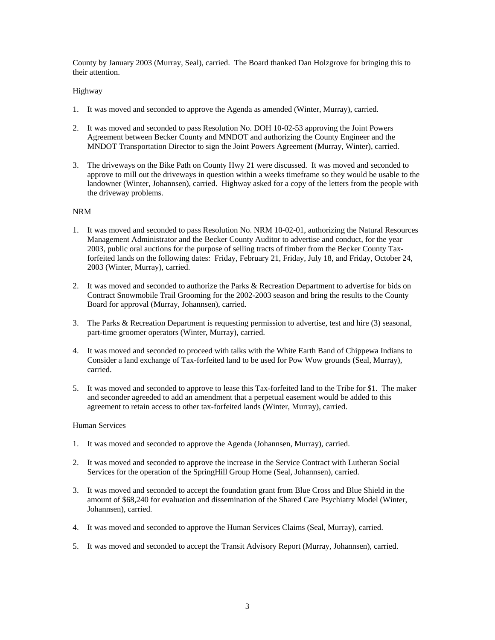County by January 2003 (Murray, Seal), carried. The Board thanked Dan Holzgrove for bringing this to their attention.

# Highway

- 1. It was moved and seconded to approve the Agenda as amended (Winter, Murray), carried.
- 2. It was moved and seconded to pass Resolution No. DOH 10-02-53 approving the Joint Powers Agreement between Becker County and MNDOT and authorizing the County Engineer and the MNDOT Transportation Director to sign the Joint Powers Agreement (Murray, Winter), carried.
- 3. The driveways on the Bike Path on County Hwy 21 were discussed. It was moved and seconded to approve to mill out the driveways in question within a weeks timeframe so they would be usable to the landowner (Winter, Johannsen), carried. Highway asked for a copy of the letters from the people with the driveway problems.

# NRM

- 1. It was moved and seconded to pass Resolution No. NRM 10-02-01, authorizing the Natural Resources Management Administrator and the Becker County Auditor to advertise and conduct, for the year 2003, public oral auctions for the purpose of selling tracts of timber from the Becker County Taxforfeited lands on the following dates: Friday, February 21, Friday, July 18, and Friday, October 24, 2003 (Winter, Murray), carried.
- 2. It was moved and seconded to authorize the Parks & Recreation Department to advertise for bids on Contract Snowmobile Trail Grooming for the 2002-2003 season and bring the results to the County Board for approval (Murray, Johannsen), carried.
- 3. The Parks & Recreation Department is requesting permission to advertise, test and hire (3) seasonal, part-time groomer operators (Winter, Murray), carried.
- 4. It was moved and seconded to proceed with talks with the White Earth Band of Chippewa Indians to Consider a land exchange of Tax-forfeited land to be used for Pow Wow grounds (Seal, Murray), carried.
- 5. It was moved and seconded to approve to lease this Tax-forfeited land to the Tribe for \$1. The maker and seconder agreeded to add an amendment that a perpetual easement would be added to this agreement to retain access to other tax-forfeited lands (Winter, Murray), carried.

## Human Services

- 1. It was moved and seconded to approve the Agenda (Johannsen, Murray), carried.
- 2. It was moved and seconded to approve the increase in the Service Contract with Lutheran Social Services for the operation of the SpringHill Group Home (Seal, Johannsen), carried.
- 3. It was moved and seconded to accept the foundation grant from Blue Cross and Blue Shield in the amount of \$68,240 for evaluation and dissemination of the Shared Care Psychiatry Model (Winter, Johannsen), carried.
- 4. It was moved and seconded to approve the Human Services Claims (Seal, Murray), carried.
- 5. It was moved and seconded to accept the Transit Advisory Report (Murray, Johannsen), carried.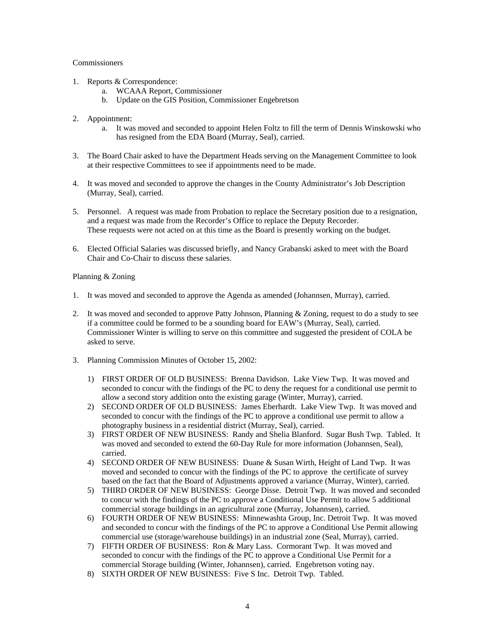# **Commissioners**

- 1. Reports & Correspondence:
	- a. WCAAA Report, Commissioner
	- b. Update on the GIS Position, Commissioner Engebretson
- 2. Appointment:
	- a. It was moved and seconded to appoint Helen Foltz to fill the term of Dennis Winskowski who has resigned from the EDA Board (Murray, Seal), carried.
- 3. The Board Chair asked to have the Department Heads serving on the Management Committee to look at their respective Committees to see if appointments need to be made.
- 4. It was moved and seconded to approve the changes in the County Administrator's Job Description (Murray, Seal), carried.
- 5. Personnel. A request was made from Probation to replace the Secretary position due to a resignation, and a request was made from the Recorder's Office to replace the Deputy Recorder. These requests were not acted on at this time as the Board is presently working on the budget.
- 6. Elected Official Salaries was discussed briefly, and Nancy Grabanski asked to meet with the Board Chair and Co-Chair to discuss these salaries.

# Planning & Zoning

- 1. It was moved and seconded to approve the Agenda as amended (Johannsen, Murray), carried.
- 2. It was moved and seconded to approve Patty Johnson, Planning & Zoning, request to do a study to see if a committee could be formed to be a sounding board for EAW's (Murray, Seal), carried. Commissioner Winter is willing to serve on this committee and suggested the president of COLA be asked to serve.
- 3. Planning Commission Minutes of October 15, 2002:
	- 1) FIRST ORDER OF OLD BUSINESS: Brenna Davidson. Lake View Twp. It was moved and seconded to concur with the findings of the PC to deny the request for a conditional use permit to allow a second story addition onto the existing garage (Winter, Murray), carried.
	- 2) SECOND ORDER OF OLD BUSINESS: James Eberhardt. Lake View Twp. It was moved and seconded to concur with the findings of the PC to approve a conditional use permit to allow a photography business in a residential district (Murray, Seal), carried.
	- 3) FIRST ORDER OF NEW BUSINESS: Randy and Shelia Blanford. Sugar Bush Twp. Tabled. It was moved and seconded to extend the 60-Day Rule for more information (Johannsen, Seal), carried.
	- 4) SECOND ORDER OF NEW BUSINESS: Duane & Susan Wirth, Height of Land Twp. It was moved and seconded to concur with the findings of the PC to approve the certificate of survey based on the fact that the Board of Adjustments approved a variance (Murray, Winter), carried.
	- 5) THIRD ORDER OF NEW BUSINESS: George Disse. Detroit Twp. It was moved and seconded to concur with the findings of the PC to approve a Conditional Use Permit to allow 5 additional commercial storage buildings in an agricultural zone (Murray, Johannsen), carried.
	- 6) FOURTH ORDER OF NEW BUSINESS: Minnewashta Group, Inc. Detroit Twp. It was moved and seconded to concur with the findings of the PC to approve a Conditional Use Permit allowing commercial use (storage/warehouse buildings) in an industrial zone (Seal, Murray), carried.
	- 7) FIFTH ORDER OF BUSINESS: Ron & Mary Lass. Cormorant Twp. It was moved and seconded to concur with the findings of the PC to approve a Conditional Use Permit for a commercial Storage building (Winter, Johannsen), carried. Engebretson voting nay.
	- 8) SIXTH ORDER OF NEW BUSINESS: Five S Inc. Detroit Twp. Tabled.